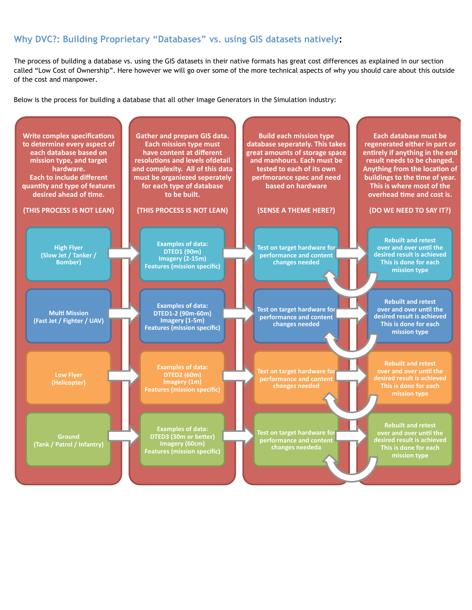## **Why DVC?: Building Proprietary "Databases" vs. using GIS datasets natively:**

The process of building a database vs. using the GIS datasets in their native formats has great cost differences as explained in our section called "Low Cost of Ownership". Here however we will go over some of the more technical aspects of why you should care about this outside of the cost and manpower.

Below is the process for building a database that all other Image Generators in the Simulation industry: